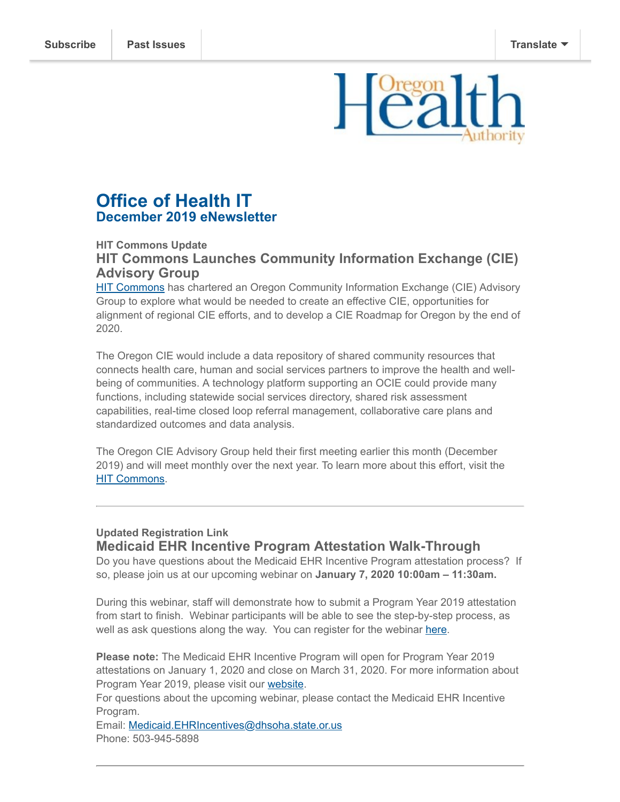

# **Office of Health IT December 2019 eNewsletter**

### **HIT Commons Update HIT Commons Launches Community Information Exchange (CIE) Advisory Group**

[HIT Commons](http://www.orhealthleadershipcouncil.org/hit-commons/) has chartered an Oregon Community Information Exchange (CIE) Advisory Group to explore what would be needed to create an effective CIE, opportunities for alignment of regional CIE efforts, and to develop a CIE Roadmap for Oregon by the end of 2020.

The Oregon CIE would include a data repository of shared community resources that connects health care, human and social services partners to improve the health and wellbeing of communities. A technology platform supporting an OCIE could provide many functions, including statewide social services directory, shared risk assessment capabilities, real-time closed loop referral management, collaborative care plans and standardized outcomes and data analysis.

The Oregon CIE Advisory Group held their first meeting earlier this month (December 2019) and will meet monthly over the next year. To learn more about this effort, visit the **[HIT Commons](http://www.orhealthleadershipcouncil.org/oregon-community-information-exchange-ocie/).** 

### **Updated Registration Link Medicaid EHR Incentive Program Attestation Walk-Through**

Do you have questions about the Medicaid EHR Incentive Program attestation process? If so, please join us at our upcoming webinar on **January 7, 2020 10:00am – 11:30am.**

During this webinar, staff will demonstrate how to submit a Program Year 2019 attestation from start to finish. Webinar participants will be able to see the step-by-step process, as well as ask questions along the way. You can register for the webinar [here.](https://attendee.gotowebinar.com/register/8283089887518843915)

**Please note:** The Medicaid EHR Incentive Program will open for Program Year 2019 attestations on January 1, 2020 and close on March 31, 2020. For more information about Program Year 2019, please visit our [website](https://www.oregon.gov/oha/HPA/OHIT-MEHRIP/pages/index.aspx).

For questions about the upcoming webinar, please contact the Medicaid EHR Incentive Program.

Email: [Medicaid.EHRIncentives@dhsoha.state.or.us](mailto:Medicaid.EHRIncentives@dhsoha.state.or.us) Phone: 503-945-5898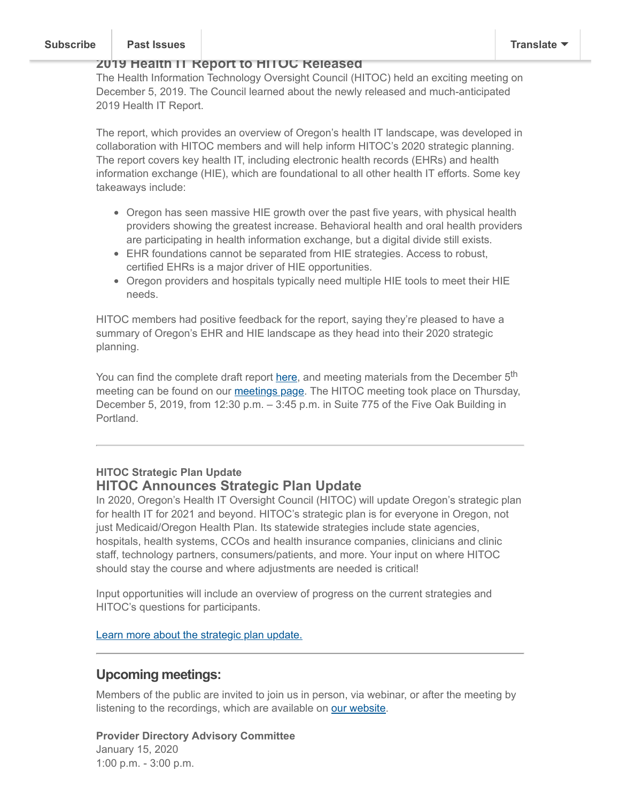### **Subscribe | Past Issues [Subscribe](http://eepurl.com/eH1C2) Past Issues [Translate](javascript:;)**

### **2019 Health IT Report to HITOC Released**

The Health Information Technology Oversight Council (HITOC) held an exciting meeting on December 5, 2019. The Council learned about the newly released and much-anticipated 2019 Health IT Report.

The report, which provides an overview of Oregon's health IT landscape, was developed in collaboration with HITOC members and will help inform HITOC's 2020 strategic planning. The report covers key health IT, including electronic health records (EHRs) and health information exchange (HIE), which are foundational to all other health IT efforts. Some key takeaways include:

- Oregon has seen massive HIE growth over the past five years, with physical health providers showing the greatest increase. Behavioral health and oral health providers are participating in health information exchange, but a digital divide still exists.
- EHR foundations cannot be separated from HIE strategies. Access to robust, certified EHRs is a major driver of HIE opportunities.
- Oregon providers and hospitals typically need multiple HIE tools to meet their HIE needs.

HITOC members had positive feedback for the report, saying they're pleased to have a summary of Oregon's EHR and HIE landscape as they head into their 2020 strategic planning.

You can find the complete draft report [here,](https://www.oregon.gov/oha/HPA/OHIT-HITOC/HITOC%20Meeting%20Docs/2019_HIT_Report_for_HITOC_Review.pdf) and meeting materials from the December 5<sup>th</sup> meeting can be found on our [meetings page.](https://www.oregon.gov/oha/HPA/OHIT-HITOC/Pages/HITOC-Meetings.aspx) The HITOC meeting took place on Thursday, December 5, 2019, from 12:30 p.m. – 3:45 p.m. in Suite 775 of the Five Oak Building in Portland.

### **HITOC Strategic Plan Update HITOC Announces Strategic Plan Update**

In 2020, Oregon's Health IT Oversight Council (HITOC) will update Oregon's strategic plan for health IT for 2021 and beyond. HITOC's strategic plan is for everyone in Oregon, not just Medicaid/Oregon Health Plan. Its statewide strategies include state agencies, hospitals, health systems, CCOs and health insurance companies, clinicians and clinic staff, technology partners, consumers/patients, and more. Your input on where HITOC should stay the course and where adjustments are needed is critical!

Input opportunities will include an overview of progress on the current strategies and HITOC's questions for participants.

[Learn more about the strategic plan update.](https://www.oregon.gov/oha/HPA/OHIT-HITOC/Pages/SP21_Home.aspx)

## **Upcoming meetings:**

Members of the public are invited to join us in person, via webinar, or after the meeting by listening to the recordings, which are available on [our website.](https://www.oregon.gov/oha/hpa/ohit/pages/index.aspx)

**Provider Directory Advisory Committee** January 15, 2020 1:00 p.m. - 3:00 p.m.